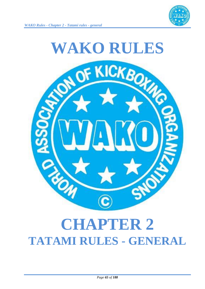



# **CHAPTER 2 TATAMI RULES - GENERAL**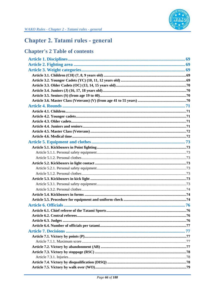

# Chapter 2. Tatami rules - general

# **Chapter's 2 Table of contents**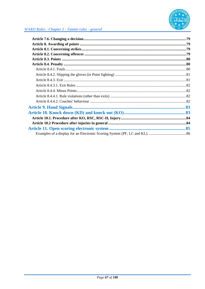

## WAKO Rules - Chapter 2 - Tatami rules - general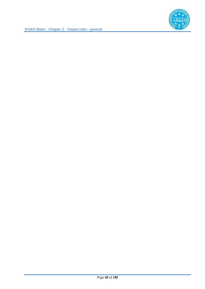

*WAKO Rules - Chapter 2 - Tatami rules - general*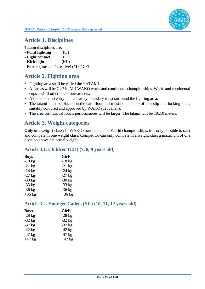

# **Article 1. Disciplines**

#### Tatami disciplines are:

- **Point fighting** (PF)
- **Light contact** (LC)
- **Kick light** (KL)
- **Forms** (musical / creative) (MF / CF)

## **Article 2. Fighting area**

- Fighting area shall be called the TATAMI.
- All areas will be 7 x 7 in ALLWAKO world and continental championships, World and continental cups and all other open tournaments.
- A one meter no entry matted safety boundary must surround the fighting area.
- The tatami must be placed on the bare floor and must be made up of non-slip interlocking mats, suitably coloured and approved by WAKO (Trocellen).
- The area for musical forms performances will be larger. The tatami will be 10x10 meters.

# **Article 3. Weight categories**

**Only one weight-class:** In WAKO Continental and World championships, it is only possible to start and compete in one weight class. Competitor can only compete in a weight class a maximum of one division above his actual weight.

#### **Article 3.1. Children (CH) (7, 8, 9 years old)**

| <b>Boys</b> | Girls    |
|-------------|----------|
| $-18$ kg    | $-18$ kg |
| $-21$ kg    | $-21$ kg |
| $-24$ kg    | $-24$ kg |
| $-27$ kg    | $-27$ kg |
| $-30$ kg    | $-30$ kg |
| $-33$ kg    | $-33$ kg |
| $-36$ kg    | $-36$ kg |
| $+36$ kg    | $+36$ kg |

## **Article 3.2. Younger Cadets (YC) (10, 11, 12 years old)**

| <b>Boys</b> | Girls    |
|-------------|----------|
| $-28$ kg    | $-28$ kg |
| $-32$ kg    | $-32$ kg |
| $-37$ kg    | $-37$ kg |
| $-42$ kg    | $-42$ kg |
| $-47$ kg    | $-47$ kg |
| $+47$ kg    | $+47$ kg |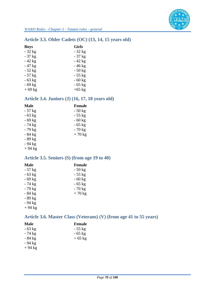

## **Article 3.3. Older Cadets (OC) (13, 14, 15 years old)**

| <b>Boys</b> | <b>Girls</b> |
|-------------|--------------|
| $-32$ kg    | $-32$ kg     |
| $-37$ kg    | $-37$ kg     |
| $-42$ kg    | $-42$ kg     |
| $-47$ kg    | $-46$ kg     |
| $-52$ kg    | $-50$ kg     |
| $-57$ kg    | $-55$ kg     |
| $-63$ kg    | $-60$ kg     |
| $-69$ kg    | $-65$ kg     |
| $+69$ kg    | $+65$ kg     |

## **Article 3.4. Juniors (J) (16, 17, 18 years old)**

| <b>Male</b> | <b>Female</b> |
|-------------|---------------|
| $-57$ kg    | $-50$ kg      |
| $-63$ kg    | $-55$ kg      |
| $-69$ kg    | $-60$ kg      |
| $-74$ kg    | $-65$ kg      |
| - 79 kg     | $-70$ kg      |
| $-84$ kg    | $+70$ kg      |
| $-89$ kg    |               |
| $-94$ kg    |               |
| $+94$ kg    |               |

# **Article 3.5. Seniors (S) (from age 19 to 40)**

| <b>Male</b> | <b>Female</b> |
|-------------|---------------|
| $-57$ kg    | $-50$ kg      |
| $-63$ kg    | $-55$ kg      |
| $-69$ kg    | $-60$ kg      |
| $-74$ kg    | $-65$ kg      |
| $-79$ kg    | $-70$ kg      |
| $-84$ kg    | $+70$ kg      |
| $-89$ kg    |               |
| $-94$ kg    |               |
| $+94$ kg    |               |

## **Article 3.6. Master Class (Veterans) (V) (from age 41 to 55 years)**

| <b>Male</b> | <b>Female</b> |
|-------------|---------------|
| $-63$ kg    | $-55$ kg      |
| $-74$ kg    | $-65$ kg      |
| $-84$ kg    | $+65$ kg      |
| $-94$ kg    |               |
| $+94$ kg    |               |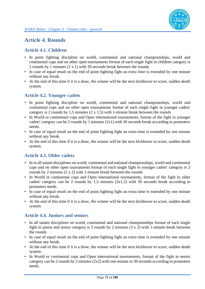# **Article 4. Rounds**

## **Article 4.1. Children**

- In point fighting discipline on world, continental and national championships, world and continental cups and on other open tournaments format of each single fight in children category is 2 rounds by 1 minutes (2 x 1) with 30 seconds break between the rounds
- In case of equal result on the end of point fighting fight an extra time is extended by one minute without any break.
- At the end of this time if it is a draw, the winner will be the next kickboxer to score, sudden death system.

## **Article 4.2. Younger cadets**

- In point fighting discipline on world, continental and national championships, world and continental cups and on other open tournaments format of each single fight in younger cadets' category is 2 rounds by 1,5 minutes  $(2 \times 1, 5)$  with 1-minute break between the rounds
- In World or continental cups and Open international tournaments, format of the fight in younger cadets' category can be 2 rounds by 1 minutes (2x1) with 30 seconds break according to promoters needs.
- In case of equal result on the end of point fighting fight an extra time is extended by one minute without any break.
- At the end of this time if it is a draw, the winner will be the next kickboxer to score, sudden death system.

## **Article 4.3. Older cadets**

- In in all tatami disciplines on world, continental and national championships, world and continental cups and on other open tournaments format of each single fight in younger cadets' category is 2 rounds by 2 minutes (2 x 2) with 1-minute break between the rounds
- In World or continental cups and Open international tournaments, format of the fight in older cadets' category can be 2 rounds by 1,5 minutes  $(2x1,5)$  with 30 seconds break according to promoters needs.
- In case of equal result on the end of point fighting fight an extra time is extended by one minute without any break.
- At the end of this time if it is a draw, the winner will be the next kickboxer to score, sudden death system.

## **Article 4.4. Juniors and seniors**

- In all tatami disciplines on world, continental and national championships format of each single fight in junior and senior category is 3 rounds by 2 minutes (3 x 2) with 1-minute break between the rounds
- In case of equal result on the end of point fighting fight an extra time is extended by one minute without any break.
- At the end of this time if it is a draw, the winner will be the next kickboxer to score, sudden death system.
- In World or continental cups and Open international tournaments, format of the fight in senior category can be 2 rounds by 2 minutes (2x2) with one minute or 30 seconds according to promoters needs.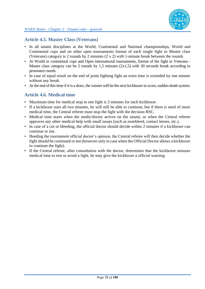

## **Article 4.5. Master Class (Veterans)**

- In all tatami disciplines at the World, Continental and National championships, World and Continental cups and on other open tournaments format of each single fight in Master class (Veterans) category is 2 rounds by 2 minutes (2 x 2) with 1-minute break between the rounds
- At World or continental cups and Open international tournaments, format of the fight in Veterans Master class category can be 2 rounds by 1,5 minutes (2x1,5) with 30 seconds break according to promoters needs.
- In case of equal result on the end of point fighting fight an extra time is extended by one minute without any break.
- At the end of this time if it is a draw, the winner will be the next kickboxer to score, sudden death system.

## **Article 4.6. Medical time**

- Maximum time for medical stop in one fight is 2 minutes for each kickboxer.
- If a kickboxer uses all two minutes, he will still be able to continue, but if there is need of more medical time, the Central referee must stop the fight with the decision RSC.
- Medical time starts when the medic/doctor arrives on the tatami, or when the Central referee approves any other medical help with small issues (such as nosebleed, contact lenses, etc.).
- In case of a cut or bleeding, the official doctor should decide within 2 minutes if a kickboxer can continue or not.
- Heeding the tournament official doctor's opinion, the Central referee will then decide whether the fight should be continued or not (however only in case when the Official Doctor allows a kickboxer to continue the fight).
- If the Central referee, after consultation with the doctor, determines that the kickboxer misuses medical time to rest or avoid a fight, he may give the kickboxer a official warning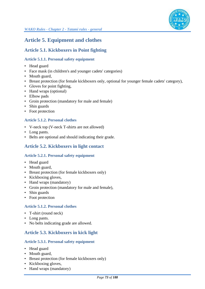

# **Article 5. Equipment and clothes**

## **Article 5.1. Kickboxers in Point fighting**

#### **Article 5.1.1. Personal safety equipment**

- Head guard
- Face mask (in children's and younger cadets' categories)
- Mouth guard,
- Breast protection (for female kickboxers only, optional for younger female cadets' category),
- Gloves for point fighting,
- Hand wraps (optional)
- Elbow pads
- Groin protection (mandatory for male and female)
- Shin guards
- Foot protection

#### **Article 5.1.2. Personal clothes**

- V-neck top (V-neck T-shirts are not allowed)
- Long pants.
- Belts are optional and should indicating their grade.

## **Article 5.2. Kickboxers in light contact**

#### **Article 5.2.1. Personal safety equipment**

- Head guard
- Mouth guard,
- Breast protection (for female kickboxers only)
- Kickboxing gloves,
- Hand wraps (mandatory)
- Groin protection (mandatory for male and female),
- Shin guards
- Foot protection

#### **Article 5.1.2. Personal clothes**

- T-shirt (round neck)
- Long pants.
- No belts indicating grade are allowed.

## **Article 5.3. Kickboxers in kick light**

#### **Article 5.3.1. Personal safety equipment**

- Head guard
- Mouth guard,
- Breast protection (for female kickboxers only)
- Kickboxing gloves,
- Hand wraps (mandatory)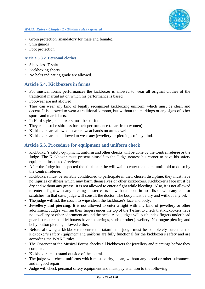

- Groin protection (mandatory for male and female),
- Shin guards
- Foot protection

#### **Article 5.3.2. Personal clothes**

- Sleeveless T shirt
- Kickboxing shorts
- No belts indicating grade are allowed.

## **Article 5.4. Kickboxers in forms**

- For musical forms performances the kickboxer is allowed to wear all original clothes of the traditional martial art on which his performance is based
- Footwear are not allowed
- They can wear any kind of legally recognized kickboxing uniform, which must be clean and decent. It is allowed to wear a traditional kimono, but without the markings or any signs of other sports and martial arts.
- In Hard styles, kickboxers must be bar footed
- They can also be shirtless for their performance (apart from women).
- Kickboxers are allowed to wear sweat bands on arms / wrist.
- Kickboxers are not allowed to wear any jewellery or piercings of any kind.

## **Article 5.5. Procedure for equipment and uniform check**

- Kickboxer's safety equipment, uniform and other checks will be done by the Central referee or the Judge. The Kickboxer must present himself to the Judge nearest his corner to have his safety equipment inspected / reviewed.
- After the Judge has inspected the kickboxer, he will wait to enter the tatami until told to do so by the Central referee.
- Kickboxers must be suitably conditioned to participate in their chosen discipline; they must have no injuries or illness which may harm themselves or other kickboxers. Kickboxer's face must be dry and without any grease. It is not allowed to enter a fight while bleeding. Also, it is not allowed to enter a fight with any sticking plaster casts or with tampons in nostrils or with any cuts or scratches. In that case, judge will consult the doctor. The body must be dry and without any oil.
- The judge will ask the coach to wipe clean the kickboxer's face and body.
- **Jewellery and piercing**. It is not allowed to enter a fight with any kind of jewellery or other adornment. Judges will run their fingers under the top of the T-shirt to check that kickboxers have no jewellery or other adornment around the neck. Also, judges will push index fingers under head guard to ensure that kickboxers have no earrings, studs or other jewellery. No tongue piercing and belly button piercing allowed either.
- Before allowing a kickboxer to enter the tatami, the judge must be completely sure that the kickboxer's safety equipment and uniform are fully functional for the kickboxer's safety and are according the WAKO rules.
- The Observer of the Musical Forms checks all kickboxers for jewellery and piercings before they compete.
- Kickboxers must stand outside of the tatami.
- The judge will check uniforms which must be dry, clean, without any blood or other substances and in good repair.
- Judge will check personal safety equipment and must pay attention to the following: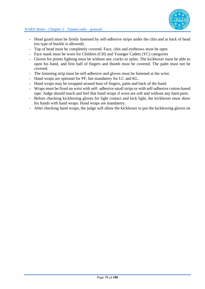

- Head guard must be firmly fastened by self-adhesive strips under the chin and at back of head (no type of buckle is allowed).
- Top of head must be completely covered. Face, chin and eyebrows must be open
- Face mask must be worn for Children (CH) and Younger Cadets (YC) categories
- Gloves for points fighting must be without any cracks or splits. The kickboxer must be able to open his hand, and first half of fingers and thumb must be covered. The palm must not be covered.
- The fastening strip must be self-adhesive and gloves must be fastened at the wrist.
- Hand wraps are optional for PF, but mandatory for LC and KL.
- Hand wraps may be wrapped around base of fingers, palm and back of the hand.
- Wraps must be fixed on wrist with self- adhesive small strips or with self-adhesive cotton-based tape. Judge should touch and feel that hand wraps if worn are soft and without any hard parts.
- Before checking kickboxing gloves for light contact and kick light, the kickboxer must show his hands with hand wraps. Hand wraps are mandatory.
- After checking hand wraps, the judge will allow the kickboxer to put the kickboxing gloves on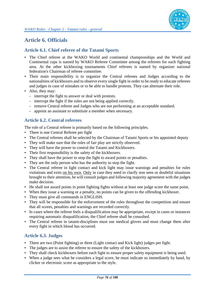

## **Article 6. Officials**

## **Article 6.1. Chief referee of the Tatami Sports**

- The Chief referee at the WAKO World and continental championships and the World and Continental cups is named by WAKO Referee Committee among the referees for each fighting area. At the other kickboxing tournaments Chief referees is named by organizer national federation's Chairman of referee committee.
- Their main responsibility is to organize the Central referees and Judges according to the nationalities of kickboxers and to observe every single fight in order to be ready to educate referees and judges in case of mistakes or to be able to handle protests. They can alternate their role.
- Also, they may:
	- interrupt the fight to answer or deal with protests.
	- interrupt the fight if the rules are not being applied correctly.
	- remove Central referee and Judges who are not performing at an acceptable standard.
	- appoint an assistant to substitute a member when necessary.

## **Article 6.2. Central referees**

The role of a Central referee is primarily based on the following principles.

- There is one Central Referee per fight
- The Central referees shall be selected by the Chairman of Tatami Sports or his appointed deputy
- They will make sure that the rules of fair play are strictly observed.
- They will have the power to control the Tatami and Kickboxers.
- Their first responsibility is the safety of the kickboxers.
- They shall have the power to stop the fight to award points or penalties.
- They are the only person who has the authority to stop the fight.
- The Central referee in light contact and kick light may issue warnings and penalties for rules violations and exits on his own. Only in case they need to clarify non seen or doubtful situations brought to their attention, he will consult judges and following majority agreement with the judges make decision.
- He shall not award points in point fighting fights without at least one judge score the same point.
- When they issue a warning or a penalty, no points can be given to the offending kickboxer.
- They must give all commands in ENGLISH.
- They will be responsible for the enforcement of the rules throughout the competition and ensure that all scores, penalties and warnings are recorded correctly.
- In cases where the referee feels a disqualification may be appropriate, except in cases or instances requiring automatic disqualification, the Chief referee shall be consulted.
- The Central referee in tatami-disciplines must use medical gloves and must change them after every fight in which blood has occurred.

## **Article 6.3. Judges**

- There are two (Point fighting) or three (Light contact and Kick light) judges per fight.
- The judges are to assist the referee to ensure the safety of the kickboxers.
- They shall check kickboxers before each fight to ensure proper safety equipment is being used.
- When a judge sees what he considers a legal score, he must indicate so immediately by hand, by clicker or electronic score as appropriate to the style.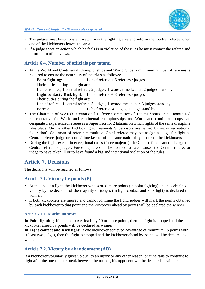

- The judges must keep constant watch over the fighting area and inform the Central referee when one of the kickboxers leaves the area.
- If a judge spots an action which he feels is in violation of the rules he must contact the referee and inform him of his views.

## **Article 6.4. Number of officials per tatami**

- At the World and Continental Championships and World Cups, a minimum number of referees is required to ensure the neutrality of the trials as follows:
	- **Point fighting**: 1 chief referee + 6 referees / judges Their duties during the fight are: 1 chief referee, 1 central referee, 2 judges, 1 score / time keeper, 2 judges stand by - **Light contact / Kick light**: 1 chief referee + 8 referees / judges
	- Their duties during the fight are: 1 chief referee, 1 central referee, 3 judges, 1 score/time keeper, 3 judges stand by
	- Forms: 1 chief referee, 4 judges, 1 judge stand by
- The Chairman of WAKO International Referee Committee of Tatami Sports or his nominated representative for World and continental championships and World and continental cups can designate 1 experienced referee as a Supervisor for 2 tatamis on which fights of the same discipline take place. On the other kickboxing tournaments Supervisors are named by organizer national federation's Chairman of referee committee. Chief referee may not assign a judge for fight as Central referee, judge or score / time keeper of the same nationality as one of the kickboxers
- During the fight, except in exceptional cases (force majeure), the Chief referee cannot change the Central referee or judges. Force majeure shall be deemed to have caused the Central referee or judge to have taken ill or to have found a big and intentional violation of the rules.

## **Article 7. Decisions**

The decisions will be reached as follows:

## **Article 7.1. Victory by points (P)**

- At the end of a fight, the kickboxer who scored more points (in point fighting) and has obtained a victory by the decision of the majority of judges (in light contact and kick light) is declared the winner.
- If both kickboxers are injured and cannot continue the fight, judges will mark the points obtained by each kickboxer to that point and the kickboxer ahead by points will be declared the winner.

#### **Article 7.1.1. Maximum score**

**In Point fighting**: If one kickboxer leads by 10 or more points, then the fight is stopped and the kickboxer ahead by points will be declared as winner

**In Light contact and Kick light**: If one kickboxer achieved advantage of minimum 15 points with at least two judges, then the fight is stopped and the kickboxer ahead by points will be declared as winner

## **Article 7.2. Victory by abandonment (AB)**

If a kickboxer voluntarily gives up due, to an injury or any other reason, or if he fails to continue to fight after the one-minute break between the rounds, his opponent will be declared as winner.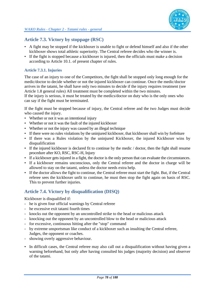

## **Article 7.3. Victory by stoppage (RSC)**

- A fight may be stopped if the kickboxer is unable to fight or defend himself and also if the other kickboxer shows total athletic superiority. The Central referee decides who the winner is.
- If the fight is stopped because a kickboxer is injured, then the officials must make a decision according to Article 10.1. of present chapter of rules.

#### **Article 7.3.1. Injuries**

The case of an injury to one of the Competitors, the fight shall be stopped only long enough for the medic/doctor to decide whether or not the injured kickboxer can continue. Once the medic/doctor arrives in the tatami, he shall have only two minutes to decide if the injury requires treatment (see Article 1.8 general rules) All treatment must be completed within the two minutes.

If the injury is serious, it must be treated by the medics/doctor on duty who is the only ones who can say if the fight must be terminated.

If the fight must be stopped because of injury, the Central referee and the two Judges must decide who caused the injury.

- Whether or not it was an intentional injury
- Whether or not it was the fault of the injured kickboxer
- Whether or not the injury was caused by an illegal technique
- If there were no rules violations by the uninjured kickboxer, that kickboxer shall win by forfeiture
- If there was a Rules violation by the uninjured Kickboxer, the injured Kickboxer wins by disqualification
- If the injured kickboxer is declared fit to continue by the medic / doctor, then the fight shall resume procedure after KO, RSC, RSC-H, Injury
- If a kickboxer gets injured in a fight, the doctor is the only person that can evaluate the circumstances.
- If a kickboxer remains unconscious, only the Central referee and the doctor in charge will be allowed to stay on the tatami, unless the doctor needs extra help.
- If the doctor allows the fight to continue, the Central referee must start the fight. But, if the Central referee sees the kickboxer unfit to continue, he must then stop the fight again on basis of RSC. This to prevent further injuries.

## **Article 7.4. Victory by disqualification (DISQ)**

Kickboxer is disqualified if:

- he is given four official warnings by Central referee
- he excessive exit tatami fourth times
- knocks out the opponent by an uncontrolled strike to the head or malicious attack
- knocking out the opponent by an uncontrolled blow to the head or malicious attack
- for excessive, continuous hitting after the "stop" command
- by extreme unsportsman like conduct of a kickboxer such as insulting the Central referee, Judges, the opponent or coaches.
- showing overly aggressive behaviour.
- In difficult cases, the Central referee may also call out a disqualification without having given a warning beforehand, but only after having consulted his judges (majority decision) and observer of the tatami.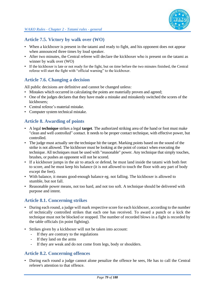

## **Article 7.5. Victory by walk over (WO)**

- When a kickboxer is present in the tatami and ready to fight, and his opponent does not appear when announced three times by loud speaker.
- After two minutes, the Central referee will declare the kickboxer who is present on the tatami as winner by walk over (WO)
- If the kickboxer is late or not ready for the fight, but on time before the two minutes finished, the Central referee will start the fight with "official warning" to the kickboxer.

## **Article 7.6. Changing a decision**

All public decisions are definitive and cannot be changed unless:

- Mistakes which occurred in calculating the points are materially proven and agreed;
- One of the judges declares that they have made a mistake and mistakenly switched the scores of the kickboxers;
- Central referee's material mistake.
- Computer system technical mistake.

## **Article 8. Awarding of points**

- A legal **technique** strikes a legal **target**. The authorized striking area of the hand or foot must make "clean and well controlled" contact. It needs to be proper contact technique, with effective power, but controlled.
- The judge must actually see the technique hit the target. Marking points based on the sound of the strike is not allowed. The kickboxer must be looking at the point of contact when executing the technique. All techniques must be used with "reasonable" power. Any technique that simply touches, brushes, or pushes an opponent will not be scored.
- If a kickboxer jumps in the air to attack or defend, he must land inside the tatami with both feet to score, and he must keep his balance (it is not allowed to touch the floor with any part of body except the feet).
- With balance, it means good-enough balance eg. not falling. The kickboxer is allowed to stumble, but not fall.
- Reasonable power means, not too hard, and not too soft. A technique should be delivered with purpose and intent.

## **Article 8.1. Concerning strikes**

- During each round, a judge will mark respective score for each kickboxer, according to the number of technically controlled strikes that each one has received. To award a punch or a kick the technique must not be blocked or stopped. The number of recorded blows in a fight is recorded by the table officials (in point fighting).
- Strikes given by a kickboxer will not be taken into account:
	- If they are contrary to the regulations
	- If they land on the arms
	- If they are weak and do not come from legs, body or shoulders.

## **Article 8.2. Concerning offences**

• During each round a judge cannot alone penalize the offence he sees, He has to call the Central referee's attention to that offence.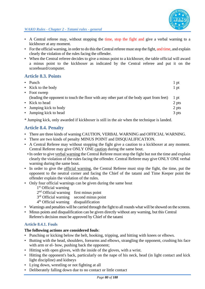

*WAKO Rules - Chapter 2 - Tatami rules - general*

- A Central referee may, without stopping the time, stop the fight and give a verbal warning to a kickboxer at any moment.
- For the official warning, in order to do this the Central referee must stop the fight, and time, and explain clearly the violation of the rules facing the offender.
- When the Central referee decides to give a minus point to a kickboxer, the table official will award a minus point to the kickboxer as indicated by the Central referee and put it on the scoreboard/computer.

## **Article 8.3. Points**

| • Punch                                                                                   | 1 pt  |
|-------------------------------------------------------------------------------------------|-------|
| • Kick to the body                                                                        | 1 pt  |
| • Foot sweep                                                                              |       |
| (leading the opponent to touch the floor with any other part of the body apart from feet) | 1 pt  |
| • Kick to head                                                                            | 2 pts |
| • Jumping kick to body                                                                    | 2 pts |
| • Jumping kick to head                                                                    | 3 pts |

\* Jumping kick, only awarded if kickboxer is still in the air when the technique is landed.

## **Article 8.4. Penalty**

- There are three kinds of warning CAUTION, VERBAL WARNING and OFFICIAL WARNING.
- There are two kinds of penalty MINUS POINT and DISQUALIFICATION.
- A Central Referee may without stopping the fight give a caution to a kickboxer at any moment. Central Referee may give ONLY ONE caution during the same bout.
- •In order to give verbal warning the Central Referee must stop the fight but not the time and explain clearly the violation of the rules facing the offender. Central Referee may give ONLY ONE verbal warning during the same bout.
- In order to give the official warning, the Central Referee must stop the fight, the time, put the opponent to the neutral corner and facing the Chief of the tatami and Time Keeper point the offender explain the violation of the rules.
- Only four official warnings can be given during the same bout
	- 1<sup>st</sup> Official warning
	- 2<sup>nd</sup> Official warning first minus point
	- 3<sup>rd</sup> Official warning second minus point
	- 4<sup>th</sup> Official warning disqualification
- Warnings and penalties will be carried through the fight to all rounds what will be showed on the screens.
- Minus points and disqualification can be given directly without any warning, but this Central
- Referee's decision must be approved by Chief of the tatami

#### **Article 8.4.1. Fouls**

#### **The following actions are considered fouls**:

- Punching or kicking below the belt, hooking, tripping, and hitting with knees or elbows.
- Butting with the head, shoulders, forearms and elbows, strangling the opponent, crushing his face with arm or el- bow, pushing back the opponent;
- Hitting with open gloves, with the inside of the gloves, with a wrist.
- Hitting the opponent's back, particularly on the nape of his neck, head (in light contact and kick light discipline) and kidneys
- Lying down, wrestling or not fighting at all
- Deliberately falling down due to no contact or little contact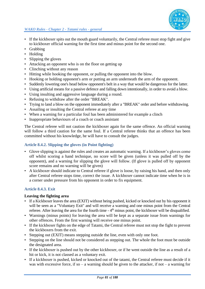

- If the kickboxer spits out the mouth guard voluntarily, the Central referee must stop fight and give to kickboxer official warning for the first time and minus point for the second one.
- Grabbing
- Holding
- Slipping the gloves
- Attacking an opponent who is on the floor on getting up
- Clinching without any reason
- Hitting while hooking the opponent, or pulling the opponent into the blow.
- Hooking or holding opponent's arm or putting an arm underneath the arm of the opponent.
- Suddenly lowering one's head below opponent's belt in a way that would be dangerous for the latter.
- Using artificial means for a passive defence and falling down intentionally, in order to avoid a blow.
- Using insulting and aggressive language during a round.
- Refusing to withdraw after the order "BREAK".
- Trying to land a blow on the opponent immediately after a "BREAK" order and before withdrawing.
- Assailing or insulting the Central referee at any time
- When a warning for a particular foul has been administered for example a clinch
- Inappropriate behaviours of a coach or coach assistant

The Central referee will not caution the kickboxer again for the same offence. An official warning will follow a third caution for the same foul. If a Central referee thinks that an offence has been committed without his knowledge, he will have to consult the judges.

#### **Article 8.4.2. Slipping the gloves (in Point fighting)**

- Glove slipping is against the rules and creates an automatic warning. If a kickboxer's gloves come off whilst scoring a hand technique, no score will be given (unless it was pulled off by the opponent), and a warning for slipping the glove will follow. (If glove is pulled off by opponent score remains and no warning will be given)
- A kickboxer should indicate to Central referee if glove is loose, by raising his hand, and then only after Central referee stops time, correct the issue. A kickboxer cannot indicate time when he is in a corner under pressure from his opponent in order to fix equipment.

## **Article 8.4.3. Exit**

#### **Leaving the fighting area**

- If a Kickboxer leaves the area (EXIT) without being pushed, kicked or knocked out by his opponent it will be seen as a "Voluntary Exit" and will receive a warning and one minus point from the Central referee. After leaving the area for the fourth time - 4<sup>th</sup> minus point, the kickboxer will be disqualified.
- Warnings (minus points) for leaving the area will be kept as a separate issue from warnings for other offences. From the first warning will receive one minus point.
- If the kickboxer fights on the edge of Tatami, the Central referee must not stop the fight to prevent the kickboxers from the exit.
- Stepping out (EXIT) means stepping outside the line, even with only one foot.
- Stepping on the line should not be considered as stepping out. The whole the foot must be outside the designated area.
- If the kickboxer is pushed out by the other kickboxer, or if he went outside the line as a result of a hit or kick, it is not classed as a voluntary exit.
- If a kickboxer is pushed, kicked or knocked out of the tatami, the Central referee must decide if it was with excessive force, if so – a warning should be given to the attacker, if not – a warning for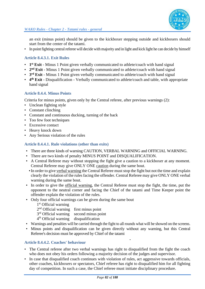

an exit (minus point) should be given to the kickboxer stepping outside and kickboxers should start from the center of the tatami.

• In point fighting central referee will decide with majority and in light and kick light he can decide by himself

#### **Article 8.4.3.1. Exit Rules**

- **1**<sup>st</sup> **Exit** Minus 1 Point given verbally communicated to athlete/coach with hand signal
- 2<sup>nd</sup> **Exit** Minus 1 Point given verbally communicated to athlete/coach with hand signal
- **3<sup>rd</sup> Exit** Minus 1 Point given verbally communicated to athlete/coach with hand signal
- **4 th Exit** Disqualification Verbally communicated to athlete/coach and table, with appropriate hand signal

#### **Article 8.4.4. Minus Points**

Criteria for minus points, given only by the Central referee, after previous warnings (2):

- Unclean fighting style
- Constant clinching
- Constant and continuous ducking, turning of the back
- Too few foot techniques
- Excessive contact
- Heavy knock down
- Any Serious violation of the rules

#### **Article 8.4.4.1. Rule violations (other than exits)**

- There are three kinds of warning CAUTION, VERBAL WARNING and OFFICIAL WARNING.
- There are two kinds of penalty MINUS POINT and DISQUALIFICATION.
- A Central Referee may without stopping the fight give a caution to a kickboxer at any moment. Central Referee may give ONLY ONE caution during the same bout.
- •In order to give verbal warning the Central Referee must stop the fight but not the time and explain clearly the violation of the rules facing the offender. Central Referee may give ONLY ONE verbal warning during the same bout.
- In order to give the official warning, the Central Referee must stop the fight, the time, put the opponent to the neutral corner and facing the Chief of the tatami and Time Keeper point the offender explain the violation of the rules.
- Only four official warnings can be given during the same bout
	- 1 st Official warning
	- 2<sup>nd</sup> Official warning first minus point
	- 3<sup>rd</sup> Official warning second minus point
	- 4<sup>th</sup> Official warning disqualification
- Warnings and penalties will be carried through the fight to all rounds what will be showed on the screens.
- Minus points and disqualification can be given directly without any warning, but this Central Referee's decision must be approved by Chief of the tatami

#### **Article 8.4.4.2. Coaches' behaviour**

- The Central referee after two verbal warnings has right to disqualified from the fight the coach who does not obey his orders following a majority decision of the judges and supervisor.
- In case that disqualified coach continues with violation of rules, act aggressive towards officials, other coaches, kickboxers or spectators, Chief referee has right to disqualified him for all fighting day of competition. In such a case, the Chief referee must initiate disciplinary procedure.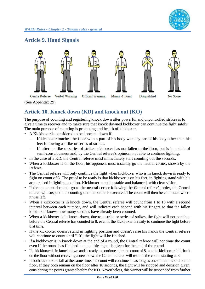

# **Article 9. Hand Signals**



(See Appendix 29)

# **Article 10. Knock down (KD) and knock out (KO)**

The purpose of counting and registering knock down after powerful and uncontrolled strikes is to give a time to recover and to make sure that knock downed kickboxer can continue the fight safely. The main purpose of counting is protecting and health of kickboxer.

- A Kickboxer is considered to be knocked down if:
	- If kickboxer touches the floor with a part of his body with any part of his body other than his feet following a strike or series of strikes.
	- If, after a strike or series of strikes kickboxer has not fallen to the floor, but is in a state of semi-consciousness and, by the Central referee's opinion, not able to continue fighting.
- In the case of a KD, the Central referee must immediately start counting out the seconds.
- When a kickboxer is on the floor, his opponent must instantly go the neutral corner, shown by the Referee.
- The Central referee will only continue the fight when kickboxer who is in knock down is ready to fight on count of 8. The proof to be ready is that kickboxer is on his feet, in fighting stand with his arms raised infighting position. Kickboxer must be stable and balanced, with clear vision.
- If the opponent does not go to the neutral corner following the Central referee's order, the Central referee will suspend the counting until his order is executed. The count will then be continued where it was left.
- When a kickboxer is in knock down, the Central referee will count from 1 to 10 with a second interval between each number, and will indicate each second with his fingers so that the fallen kickboxer knows how many seconds have already been counted.
- When a kickboxer is in knock down, due to a strike or series of strikes, the fight will not continue before the Central referee has counted to 8, even if the kickboxer is ready to continue the fight before that time.
- If the kickboxer doesn't stand in fighting position and doesn't raise his hands the Central referee will continue to count until "10", the fight will be finished.
- If a kickboxer is in knock down at the end of a round, the Central referee will continue the count even if the round has finished - an audible signal is given for the end of the round.
- If a kickboxer is in knock down and is ready to continue after the count of 8, but the kickboxer falls back on the floor without receiving a new blow, the Central referee will resume the count, starting at 8.
- If both kickboxers fall at the same time, the count will continue on as long as one of them is still on the floor. If they both remain on the floor after 10 seconds, the fight will be stopped and decision given, considering the points granted before the KD. Nevertheless, this winner will be suspended from further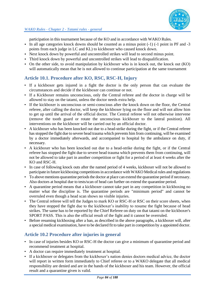participation in this tournament because of the KO and in accordance with WAKO Rules.

- In all age categories knock downs should be counted as a minus point  $(-1)$   $(-1)$  point in PF and  $-3$ points from each judge in LC and KL) to kickboxer who caused knock down.
- Next knock down by powerful and uncontrolled strikes will lead to second minus point.
- Third knock down by powerful and uncontrolled strikes will lead to disqualification.
- On the other side, to avoid manipulation by kickboxer who is in knock out, the knock out (KO) will automatically mean that he is not allowed to continue participation at the same tournament

## **Article 10.1. Procedure after KO, RSC, RSC-H, Injury**

- If a kickboxer gets injured in a fight the doctor is the only person that can evaluate the circumstances and decide if the kickboxer can continue or not.
- If a Kickboxer remains unconscious, only the Central referee and the doctor in charge will be allowed to stay on the tatami, unless the doctor needs extra help.
- If the kickboxer is unconscious or semi-conscious after the knock down on the floor, the Central referee, after calling the doctor, will keep the kickboxer lying on the floor and will not allow him to get up until the arrival of the official doctor. The Central referee will not otherwise intervene (remove the tooth guard or rotate the unconscious kickboxer to the lateral position). All interventions on the kickboxer will be carried out by an official doctor.
- A kickboxer who has been knocked out due to a head-strike during the fight, or if the Central referee has stopped the fight due to severe head trauma which prevents him from continuing, will be examined by a doctor immediately afterwards, and accompanied to hospital by the ambulance on duty, if necessary.
- A kickboxer who has been knocked out due to a head-strike during the fight, or if the Central referee has stopped the fight due to severe head trauma which prevents them from continuing, will not be allowed to take part in another competition or fight for a period of at least 4 weeks after the KO and RSC-H.
- In case of following knock outs after the named period of 4 weeks, kickboxer will not be allowed to participate in future kickboxing competitions in accordance with WAKO Medical rules and regulations
- To above mentions quarantine periods the doctor at place can extend the quarantine period if necessary. Also doctors at hospital due to tests/scan of head can further on extend the quarantine period.
- A quarantine period means that a kickboxer cannot take part in any competition in kickboxing no matter what the discipline is. The quarantine periods are "minimum period" and cannot be overruled even though a head scan shows no visible injuries.
- The Central referee will tell the Judges to mark KO or RSC-H or RSC on their score sheets, when they have stopped the fight due to the kickboxer's inability to resume the fight because of head strikes. The same has to be reported by the Chief Referee on duty on that tatami on the kickboxer's SPORT PASS. This is also the official result of the fight and it cannot be overruled.
- Before resuming kickboxing after a ban, as described in the above paragraphs, a kickboxer will, after a special medical examination, have to be declared fit to take part in competition by a appointed doctor.

## **Article 10.2 Procedure after injuries in general**

- In case of injuries besides KO or RSC-H the doctor can give a minimum of quarantine period and recommend treatment at hospital.
- A doctor can require immediately treatment at hospital.
- If a kickboxer or delegates from the kickboxer's nation denies doctors medical advice, the doctor will report in written form immediately to Chief referee or to a WAKO delegate that all medical responsibility are denied and are in the hands of the kickboxer and his team. However, the official result and a quarantine given is valid.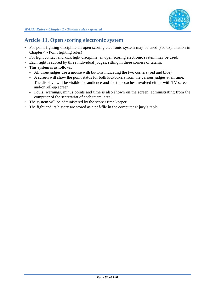

# **Article 11. Open scoring electronic system**

- For point fighting discipline an open scoring electronic system may be used (see explanation in Chapter 4 - Point fighting rules)
- For light contact and kick light discipline, an open scoring electronic system may be used.
- Each fight is scored by three individual judges, sitting in three corners of tatami.
- This system is as follows:
	- All three judges use a mouse with buttons indicating the two corners (red and blue).
	- A screen will show the point status for both kickboxers from the various judges at all time.
	- The displays will be visible for audience and for the coaches involved either with TV screens and/or roll-up screen.
	- Fouls, warnings, minus points and time is also shown on the screen, administrating from the computer of the secretariat of each tatami area.
- The system will be administered by the score / time keeper
- The fight and its history are stored as a pdf-file in the computer at jury's table.